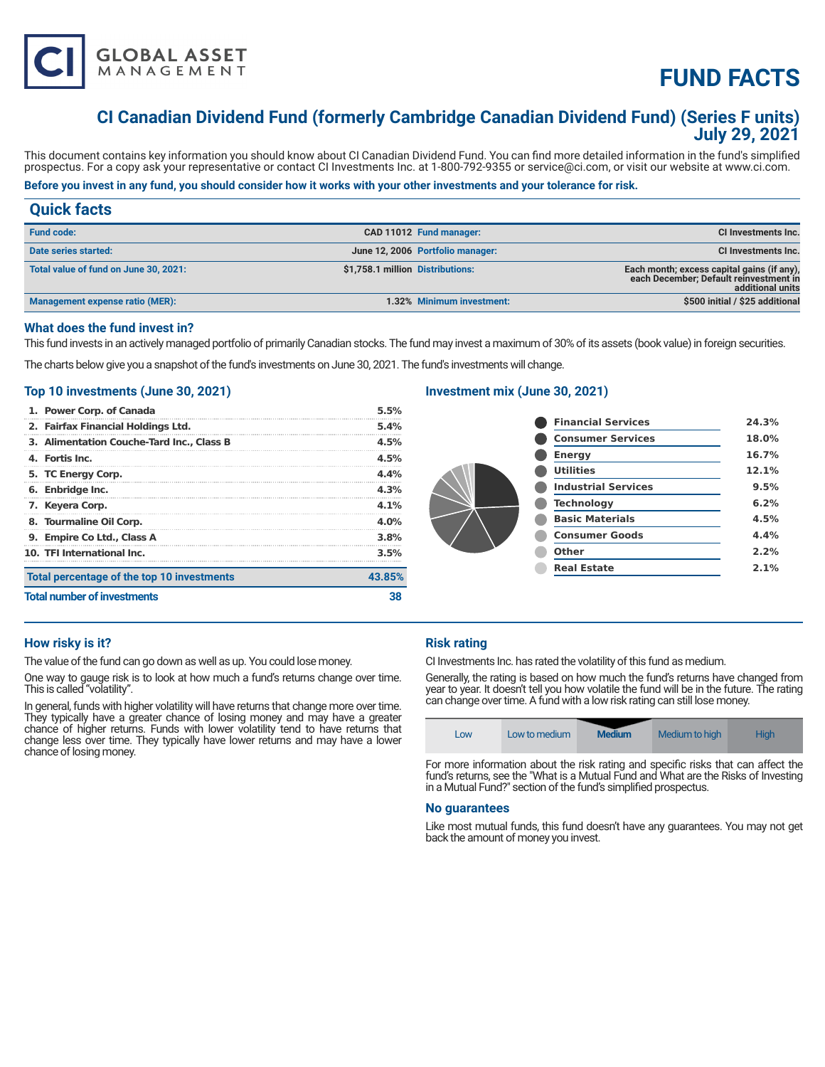

# **FUND FACTS**

# **CI Canadian Dividend Fund (formerly Cambridge Canadian Dividend Fund) (Series F units) July 29, 2021**

This document contains key information you should know about CI Canadian Dividend Fund. You can find more detailed information in the fund's simplified prospectus. For a copy ask your representative or contact CI Investments Inc. at 1-800-792-9355 or service@ci.com, or visit our website at www.ci.com.

# **Before you invest in any fund, you should consider how it works with your other investments and your tolerance for risk.**

| <b>Quick facts</b>                    |                                  |                                  |                                                                                                          |
|---------------------------------------|----------------------------------|----------------------------------|----------------------------------------------------------------------------------------------------------|
| <b>Fund code:</b>                     |                                  | CAD 11012 Fund manager:          | <b>CI Investments Inc.</b>                                                                               |
| Date series started:                  |                                  | June 12, 2006 Portfolio manager: | <b>CI Investments Inc.</b>                                                                               |
| Total value of fund on June 30, 2021: | \$1,758.1 million Distributions: |                                  | Each month; excess capital gains (if any),<br>each December; Default reinvestment in<br>additional units |
| Management expense ratio (MER):       |                                  | 1.32% Minimum investment:        | \$500 initial / \$25 additional                                                                          |

#### **What does the fund invest in?**

This fund invests in an actively managed portfolio of primarily Canadian stocks. The fund may invest a maximum of 30% of its assets (book value) in foreign securities.

The charts below give you a snapshot of the fund's investments on June 30, 2021. The fund's investments will change.

# **Top 10 investments (June 30, 2021)**

| <b>Total number of investments</b>         | 38     |
|--------------------------------------------|--------|
| Total percentage of the top 10 investments | 43.85% |
| 10. TFI International Inc.                 | 3.5%   |
| 9. Empire Co Ltd., Class A                 | 3.8%   |
| 8. Tourmaline Oil Corp.                    | 4.0%   |
| 7. Keyera Corp.                            | 4.1%   |
| 6. Enbridge Inc.                           | 4.3%   |
| 5. TC Energy Corp.                         | 4.4%   |
| 4. Fortis Inc.                             | 4.5%   |
| 3. Alimentation Couche-Tard Inc., Class B  | 4.5%   |
| 2. Fairfax Financial Holdings Ltd.         | 5.4%   |
| 1. Power Corp. of Canada                   | 5.5%   |

# **Investment mix (June 30, 2021)**

| <b>Financial Services</b>  | 24.3% |
|----------------------------|-------|
| <b>Consumer Services</b>   | 18.0% |
| <b>Energy</b>              | 16.7% |
| <b>Utilities</b>           | 12.1% |
| <b>Industrial Services</b> | 9.5%  |
| <b>Technology</b>          | 6.2%  |
| <b>Basic Materials</b>     | 4.5%  |
| <b>Consumer Goods</b>      | 4.4%  |
| Other                      | 2.2%  |
| <b>Real Estate</b>         | 2.1%  |
|                            |       |

# **How risky is it?**

The value of the fund can go down as well as up. You could lose money.

One way to gauge risk is to look at how much a fund's returns change over time. This is called "volatility".

In general, funds with higher volatility will have returns that change more over time. They typically have a greater chance of losing money and may have a greater chance of higher returns. Funds with lower volatility tend to have returns that change less over time. They typically have lower returns and may have a lower chance of losing money.

# **Risk rating**

CI Investments Inc. has rated the volatility of this fund as medium.

Generally, the rating is based on how much the fund's returns have changed from year to year. It doesn't tell you how volatile the fund will be in the future. The rating can change over time. A fund with a low risk rating can still lose money.

| LOW | Low to medium | <b>Medium</b> | Medium to high | High. |
|-----|---------------|---------------|----------------|-------|
|     | .<br>$\sim$   | $\sim$        |                | . .   |

For more information about the risk rating and specific risks that can affect the fund's returns, see the "What is a Mutual Fund and What are the Risks of Investing in a Mutual Fund?" section of the fund's simplified prospectus.

#### **No guarantees**

Like most mutual funds, this fund doesn't have any guarantees. You may not get back the amount of money you invest.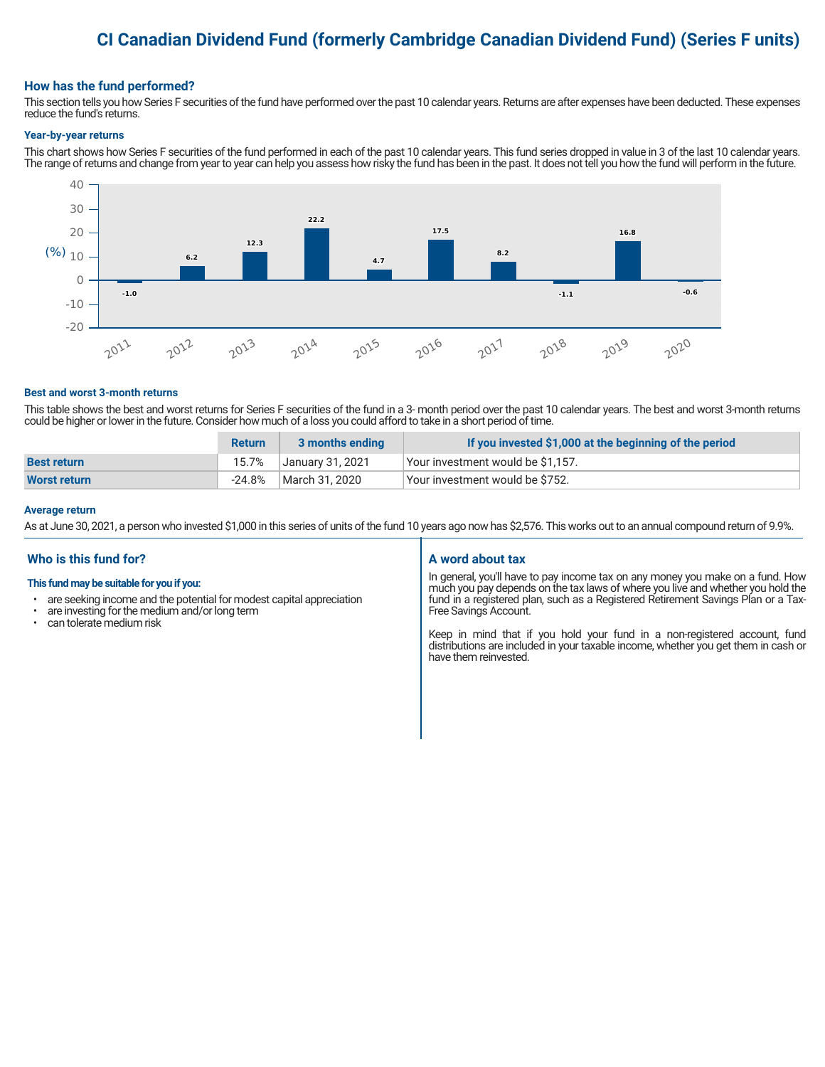# **CI Canadian Dividend Fund (formerly Cambridge Canadian Dividend Fund) (Series F units)**

# **How has the fund performed?**

This section tells you how Series F securities of the fund have performed over the past 10 calendar years. Returns are after expenses have been deducted. These expenses reduce the fund's returns.

#### **Year-by-year returns**

This chart shows how Series F securities of the fund performed in each of the past 10 calendar years. This fund series dropped in value in 3 of the last 10 calendar years. The range of returns and change from year to year can help you assess how risky the fund has been in the past. It does not tell you how the fund will perform in the future.



#### **Best and worst 3-month returns**

This table shows the best and worst returns for Series F securities of the fund in a 3- month period over the past 10 calendar years. The best and worst 3-month returns could be higher or lower in the future. Consider how much of a loss you could afford to take in a short period of time.

|                    | <b>Return</b> | 3 months ending  | If you invested \$1,000 at the beginning of the period |
|--------------------|---------------|------------------|--------------------------------------------------------|
| <b>Best return</b> | 15.7%         | January 31, 2021 | Vour investment would be \$1,157.                      |
| Worst return       | -24.8%        | March 31, 2020   | Your investment would be \$752.                        |

#### **Average return**

As at June 30, 2021, a person who invested \$1,000 in this series of units of the fund 10 years ago now has \$2,576. This works out to an annual compound return of 9.9%.

# **Who is this fund for?**

#### **This fund may be suitable for you if you:**

- are seeking income and the potential for modest capital appreciation
- $\cdot$  are investing for the medium and/or long term<br> $\cdot$  can telerate medium risk
- can tolerate medium risk

### **A word about tax**

In general, you'll have to pay income tax on any money you make on a fund. How much you pay depends on the tax laws of where you live and whether you hold the fund in a registered plan, such as a Registered Retirement Savings Plan or a Tax-Free Savings Account.

Keep in mind that if you hold your fund in a non-registered account, fund distributions are included in your taxable income, whether you get them in cash or have them reinvested.